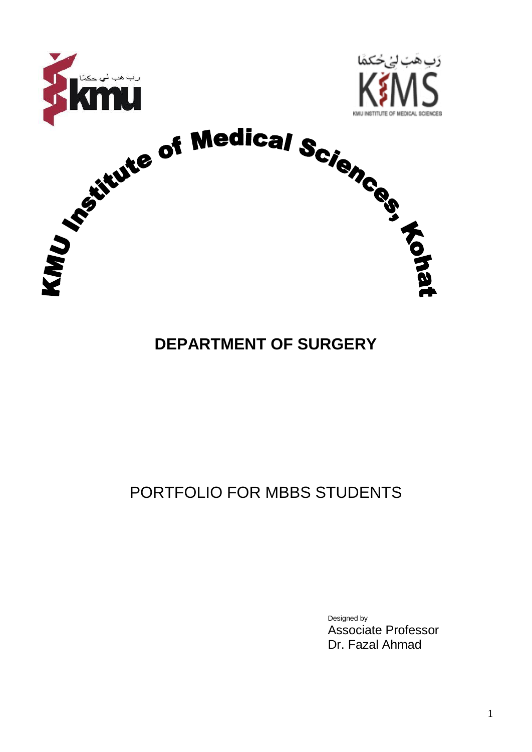

#### **DEPARTMENT OF SURGERY**

### PORTFOLIO FOR MBBS STUDENTS

Designed by Associate Professor Dr. Fazal Ahmad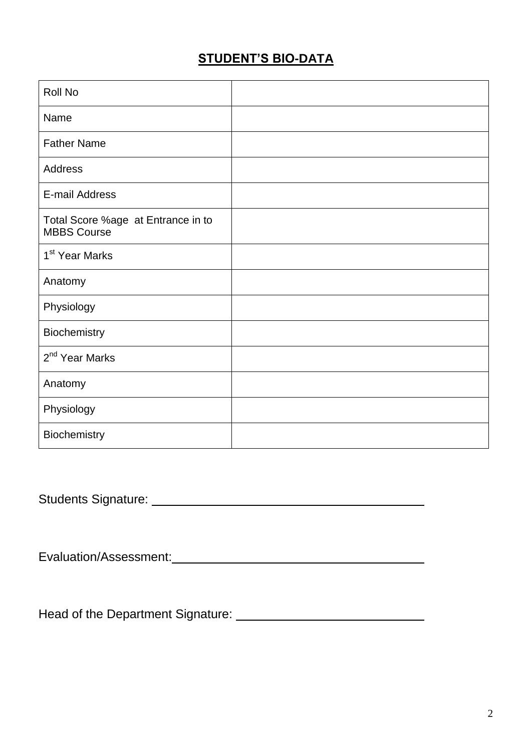#### **STUDENT'S BIO-DATA**

| Roll No                                                  |  |
|----------------------------------------------------------|--|
| Name                                                     |  |
| <b>Father Name</b>                                       |  |
| <b>Address</b>                                           |  |
| E-mail Address                                           |  |
| Total Score %age at Entrance in to<br><b>MBBS Course</b> |  |
| 1 <sup>st</sup> Year Marks                               |  |
| Anatomy                                                  |  |
| Physiology                                               |  |
| Biochemistry                                             |  |
| 2 <sup>nd</sup> Year Marks                               |  |
| Anatomy                                                  |  |
| Physiology                                               |  |
| Biochemistry                                             |  |

Students Signature:

Evaluation/Assessment:

Head of the Department Signature: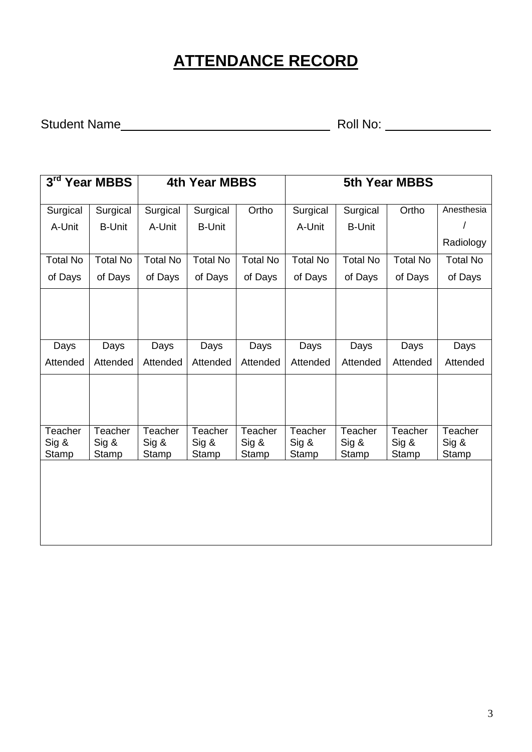### **ATTENDANCE RECORD**

Student Name Roll No:

| $3^{\text{rd}}$<br><b>Year MBBS</b> |                    | <b>4th Year MBBS</b> |                    |                    | <b>5th Year MBBS</b> |                    |                    |                  |
|-------------------------------------|--------------------|----------------------|--------------------|--------------------|----------------------|--------------------|--------------------|------------------|
| Surgical                            | Surgical           | Surgical             | Surgical           | Ortho              | Surgical             | Surgical           | Ortho              | Anesthesia       |
| A-Unit                              | <b>B-Unit</b>      | A-Unit               | <b>B-Unit</b>      |                    | A-Unit               | <b>B-Unit</b>      |                    |                  |
|                                     |                    |                      |                    |                    |                      |                    |                    | Radiology        |
| <b>Total No</b>                     | <b>Total No</b>    | <b>Total No</b>      | <b>Total No</b>    | <b>Total No</b>    | <b>Total No</b>      | <b>Total No</b>    | <b>Total No</b>    | <b>Total No</b>  |
| of Days                             | of Days            | of Days              | of Days            | of Days            | of Days              | of Days            | of Days            | of Days          |
|                                     |                    |                      |                    |                    |                      |                    |                    |                  |
| Days                                | Days               | Days                 | Days               | Days               | Days                 | Days               | Days               | Days             |
| Attended                            | Attended           | Attended             | Attended           | Attended           | Attended             | Attended           | Attended           | Attended         |
|                                     |                    |                      |                    |                    |                      |                    |                    |                  |
| <b>Teacher</b><br>$Sig$ &           | Teacher<br>$Sig$ & | Teacher<br>$Sig$ &   | Teacher<br>$Sig$ & | Teacher<br>$Sig$ & | Teacher<br>$Sig$ &   | Teacher<br>$Sig$ & | Teacher<br>$Sig$ & | Teacher<br>Sig & |
| Stamp                               | Stamp              | Stamp                | Stamp              | Stamp              | Stamp                | Stamp              | Stamp              | Stamp            |
|                                     |                    |                      |                    |                    |                      |                    |                    |                  |

<u> 1989 - Johann Stoff, deutscher Stoffen und der Stoffen und der Stoffen und der Stoffen und der Stoffen und de</u>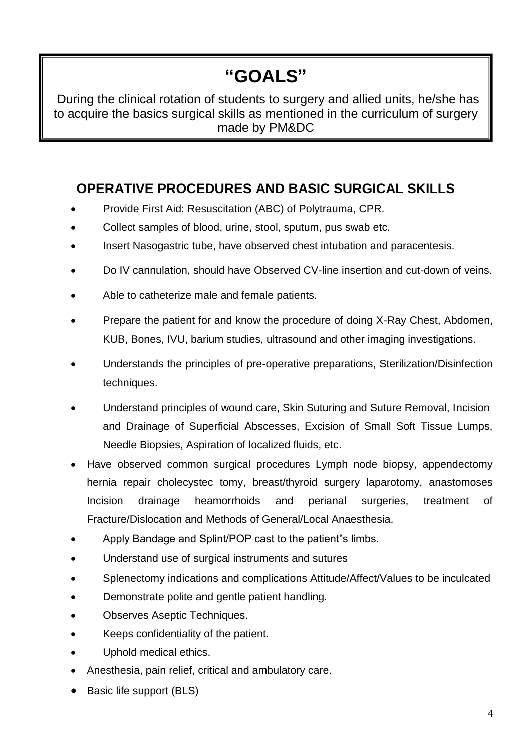## **"GOALS"**

During the clinical rotation of students to surgery and allied units, he/she has to acquire the basics surgical skills as mentioned in the curriculum of surgery made by PM&DC

#### **OPERATIVE PROCEDURES AND BASIC SURGICAL SKILLS**

- Provide First Aid: Resuscitation (ABC) of Polytrauma, CPR.
- Collect samples of blood, urine, stool, sputum, pus swab etc.
- Insert Nasogastric tube, have observed chest intubation and paracentesis.
- Do IV cannulation, should have Observed CV-line insertion and cut-down of veins.
- Able to catheterize male and female patients.
- Prepare the patient for and know the procedure of doing X-Ray Chest, Abdomen, KUB, Bones, IVU, barium studies, ultrasound and other imaging investigations.
- Understands the principles of pre-operative preparations, Sterilization/Disinfection techniques.
- Understand principles of wound care, Skin Suturing and Suture Removal, Incision and Drainage of Superficial Abscesses, Excision of Small Soft Tissue Lumps, Needle Biopsies, Aspiration of localized fluids, etc.
- Have observed common surgical procedures Lymph node biopsy, appendectomy hernia repair cholecystec tomy, breast/thyroid surgery laparotomy, anastomoses Incision drainage heamorrhoids and perianal surgeries, treatment of Fracture/Dislocation and Methods of General/Local Anaesthesia.
- Apply Bandage and Splint/POP cast to the patient"s limbs.
- Understand use of surgical instruments and sutures
- Splenectomy indications and complications Attitude/Affect/Values to be inculcated
- Demonstrate polite and gentle patient handling.
- Observes Aseptic Techniques.
- Keeps confidentiality of the patient.
- Uphold medical ethics.
- Anesthesia, pain relief, critical and ambulatory care.
- Basic life support (BLS)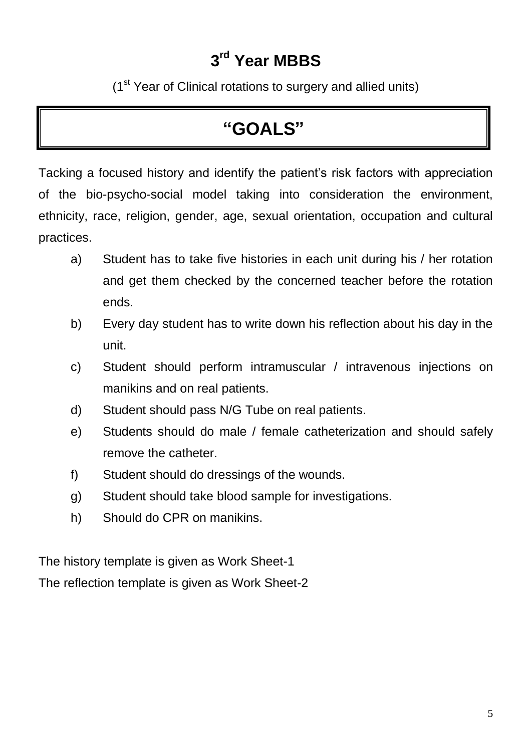### **3 rd Year MBBS**

(1<sup>st</sup> Year of Clinical rotations to surgery and allied units)

#### **"GOALS"**

Tacking a focused history and identify the patient's risk factors with appreciation of the bio-psycho-social model taking into consideration the environment, ethnicity, race, religion, gender, age, sexual orientation, occupation and cultural practices.

- a) Student has to take five histories in each unit during his / her rotation and get them checked by the concerned teacher before the rotation ends.
- b) Every day student has to write down his reflection about his day in the unit.
- c) Student should perform intramuscular / intravenous injections on manikins and on real patients.
- d) Student should pass N/G Tube on real patients.
- e) Students should do male / female catheterization and should safely remove the catheter.
- f) Student should do dressings of the wounds.
- g) Student should take blood sample for investigations.
- h) Should do CPR on manikins.

The history template is given as Work Sheet-1

The reflection template is given as Work Sheet-2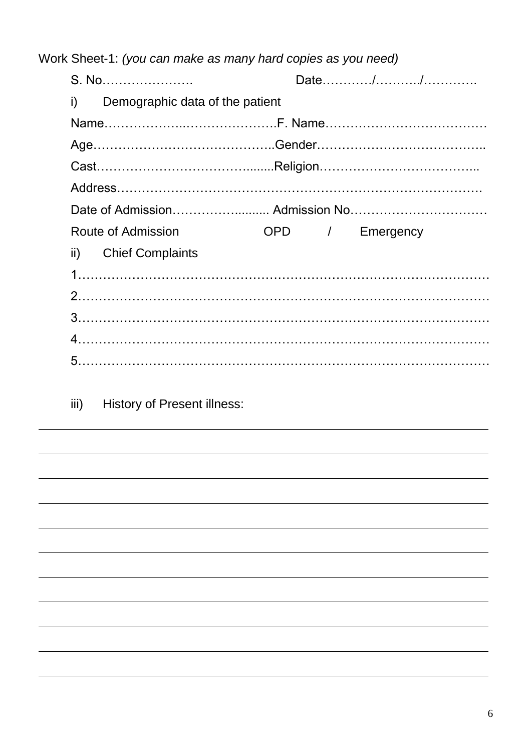Work Sheet-1: *(you can make as many hard copies as you need)*

| i) Demographic data of the patient |  |  |  |                 |
|------------------------------------|--|--|--|-----------------|
|                                    |  |  |  |                 |
|                                    |  |  |  |                 |
|                                    |  |  |  |                 |
|                                    |  |  |  |                 |
|                                    |  |  |  |                 |
| <b>Route of Admission</b>          |  |  |  | OPD / Emergency |
| ii) Chief Complaints               |  |  |  |                 |
|                                    |  |  |  |                 |
|                                    |  |  |  |                 |
|                                    |  |  |  |                 |
|                                    |  |  |  |                 |
|                                    |  |  |  |                 |
|                                    |  |  |  |                 |

iii) History of Present illness: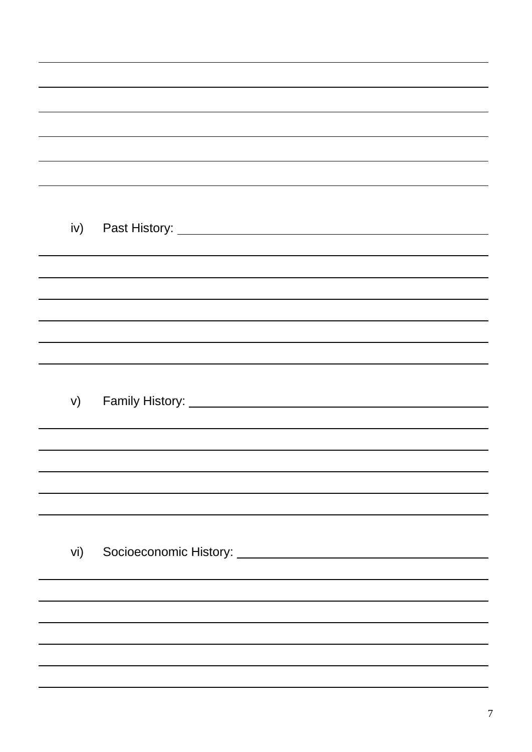|     | ,我们也不会有什么。""我们的人,我们也不会有什么?""我们的人,我们也不会有什么?""我们的人,我们也不会有什么?""我们的人,我们也不会有什么?""我们的人 |
|-----|----------------------------------------------------------------------------------|
|     |                                                                                  |
|     |                                                                                  |
|     | ,我们也不会有什么?""我们的人,我们也不会有什么?""我们的人,我们也不会有什么?""我们的人,我们也不会有什么?""我们的人,我们也不会有什么?""我们的人 |
|     |                                                                                  |
|     |                                                                                  |
| iv) |                                                                                  |
|     |                                                                                  |
|     |                                                                                  |
|     |                                                                                  |
|     |                                                                                  |
|     |                                                                                  |
|     |                                                                                  |
| V)  |                                                                                  |
|     |                                                                                  |
|     |                                                                                  |
|     |                                                                                  |
|     |                                                                                  |
|     |                                                                                  |
|     |                                                                                  |
| vi) |                                                                                  |
|     |                                                                                  |
|     |                                                                                  |
|     |                                                                                  |
|     |                                                                                  |
|     |                                                                                  |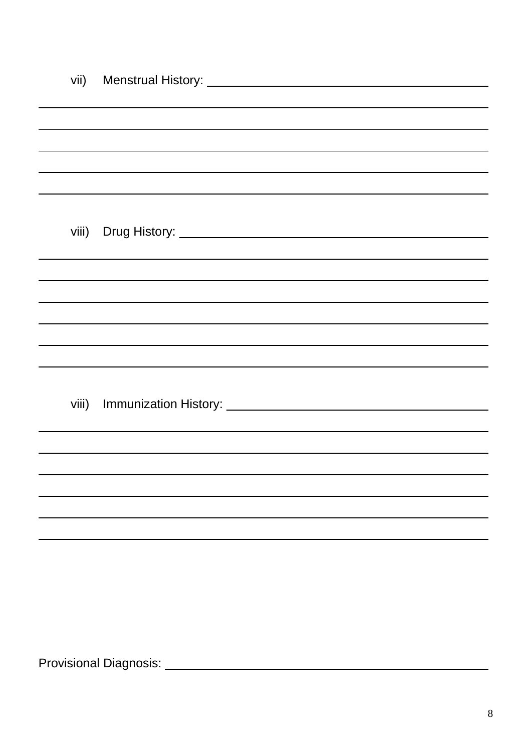| ,我们也不会有什么。""我们的人,我们也不会有什么?""我们的人,我们也不会有什么?""我们的人,我们也不会有什么?""我们的人,我们也不会有什么?""我们的人                                                                                                                                               |
|--------------------------------------------------------------------------------------------------------------------------------------------------------------------------------------------------------------------------------|
|                                                                                                                                                                                                                                |
|                                                                                                                                                                                                                                |
| viii) Drug History: Note and the contract of the contract of the contract of the contract of the contract of the contract of the contract of the contract of the contract of the contract of the contract of the contract of t |
|                                                                                                                                                                                                                                |
|                                                                                                                                                                                                                                |
|                                                                                                                                                                                                                                |
|                                                                                                                                                                                                                                |
| ,我们也不会有什么。""我们的人,我们也不会有什么?""我们的人,我们也不会有什么?""我们的人,我们也不会有什么?""我们的人,我们也不会有什么?""我们的人                                                                                                                                               |
|                                                                                                                                                                                                                                |
|                                                                                                                                                                                                                                |
|                                                                                                                                                                                                                                |
|                                                                                                                                                                                                                                |
|                                                                                                                                                                                                                                |
|                                                                                                                                                                                                                                |
|                                                                                                                                                                                                                                |
|                                                                                                                                                                                                                                |
|                                                                                                                                                                                                                                |
|                                                                                                                                                                                                                                |
|                                                                                                                                                                                                                                |
|                                                                                                                                                                                                                                |
|                                                                                                                                                                                                                                |

Provisional Diagnosis: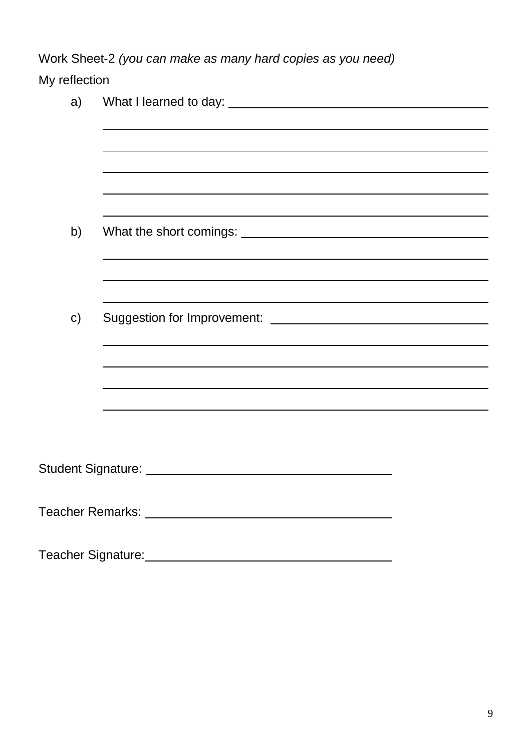Work Sheet-2 *(you can make as many hard copies as you need)*

#### My reflection

| a)            |                                                             |
|---------------|-------------------------------------------------------------|
|               |                                                             |
|               |                                                             |
|               |                                                             |
|               |                                                             |
|               |                                                             |
| b)            |                                                             |
|               |                                                             |
|               |                                                             |
|               |                                                             |
| $\mathsf{c})$ |                                                             |
|               |                                                             |
|               |                                                             |
|               |                                                             |
|               |                                                             |
|               |                                                             |
|               |                                                             |
|               | Student Signature: Management Student Signature:            |
|               |                                                             |
|               |                                                             |
|               |                                                             |
|               | Teacher Signature: Management Control of Teacher Signature: |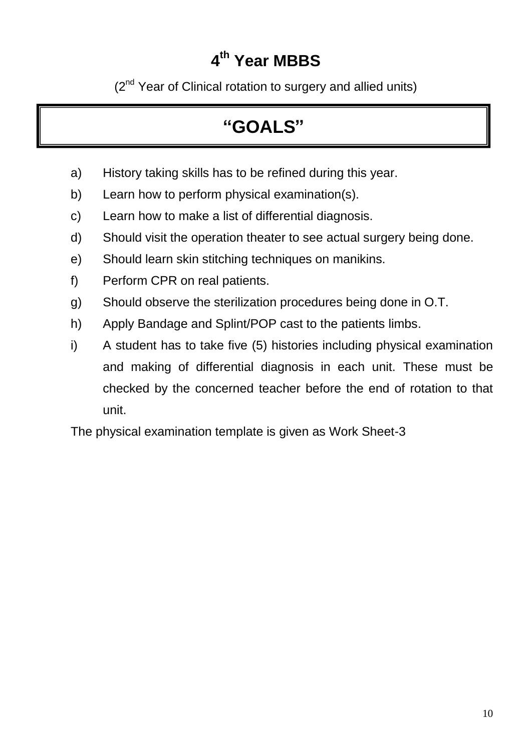## **4 th Year MBBS**

(2<sup>nd</sup> Year of Clinical rotation to surgery and allied units)

# **"GOALS"**

- a) History taking skills has to be refined during this year.
- b) Learn how to perform physical examination(s).
- c) Learn how to make a list of differential diagnosis.
- d) Should visit the operation theater to see actual surgery being done.
- e) Should learn skin stitching techniques on manikins.
- f) Perform CPR on real patients.
- g) Should observe the sterilization procedures being done in O.T.
- h) Apply Bandage and Splint/POP cast to the patients limbs.
- i) A student has to take five (5) histories including physical examination and making of differential diagnosis in each unit. These must be checked by the concerned teacher before the end of rotation to that unit.

The physical examination template is given as Work Sheet-3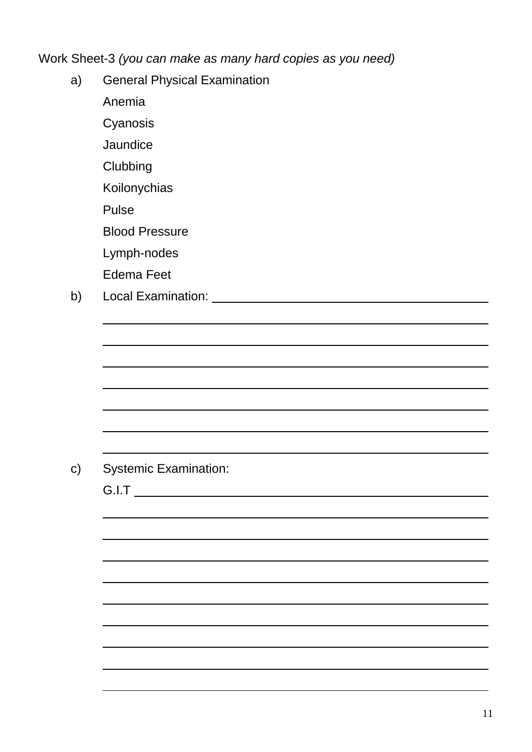Work Sheet-3 *(you can make as many hard copies as you need)*

a) General Physical Examination

Anemia

Cyanosis

**Jaundice** 

**Clubbing** 

Koilonychias

Pulse

Blood Pressure

Lymph-nodes

Edema Feet

b) Local Examination: Letter Local Examination:

c) Systemic Examination:

G.I.T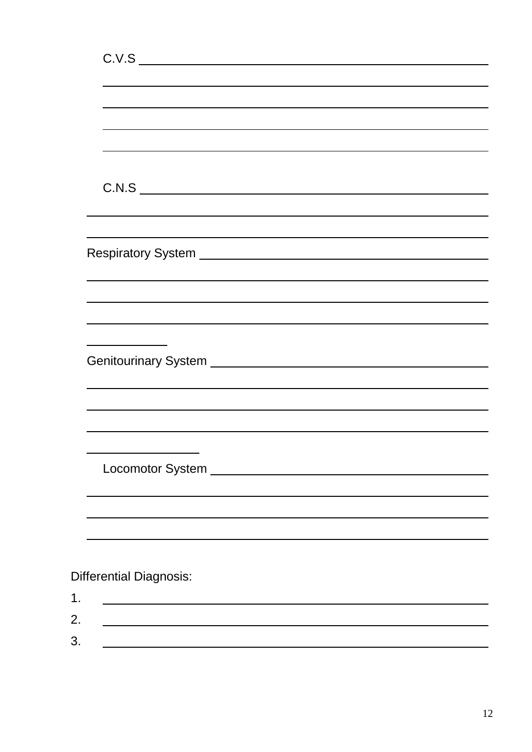|    | C.V.S                                                                                                                                                                                                                          |
|----|--------------------------------------------------------------------------------------------------------------------------------------------------------------------------------------------------------------------------------|
|    |                                                                                                                                                                                                                                |
|    |                                                                                                                                                                                                                                |
|    |                                                                                                                                                                                                                                |
|    |                                                                                                                                                                                                                                |
|    |                                                                                                                                                                                                                                |
|    |                                                                                                                                                                                                                                |
|    | C.N.S                                                                                                                                                                                                                          |
|    | ,我们也不能在这里的时候,我们也不能在这里的时候,我们也不能会不能会不能会不能会不能会不能会不能会不能会不能会不能会。<br>第2012章 我们的时候,我们的时候,我们的时候,我们的时候,我们的时候,我们的时候,我们的时候,我们的时候,我们的时候,我们的时候,我们的时候,我们的时候,我                                                                                |
|    |                                                                                                                                                                                                                                |
|    |                                                                                                                                                                                                                                |
|    |                                                                                                                                                                                                                                |
|    |                                                                                                                                                                                                                                |
|    |                                                                                                                                                                                                                                |
|    |                                                                                                                                                                                                                                |
|    | <u> 1989 - Johann Barn, mars ann an t-Amhair an t-Amhair an t-Amhair an t-Amhair an t-Amhair an t-Amhair an t-Amh</u>                                                                                                          |
|    |                                                                                                                                                                                                                                |
|    |                                                                                                                                                                                                                                |
|    |                                                                                                                                                                                                                                |
|    |                                                                                                                                                                                                                                |
|    |                                                                                                                                                                                                                                |
|    |                                                                                                                                                                                                                                |
|    | Locomotor System Network and Communication of the Communication of the Communication of the Communication of the Communication of the Communication of the Communication of the Communication of the Communication of the Comm |
|    |                                                                                                                                                                                                                                |
|    |                                                                                                                                                                                                                                |
|    |                                                                                                                                                                                                                                |
|    |                                                                                                                                                                                                                                |
|    |                                                                                                                                                                                                                                |
|    | <b>Differential Diagnosis:</b>                                                                                                                                                                                                 |
| 1. |                                                                                                                                                                                                                                |
| 2. |                                                                                                                                                                                                                                |
| 3. |                                                                                                                                                                                                                                |
|    |                                                                                                                                                                                                                                |